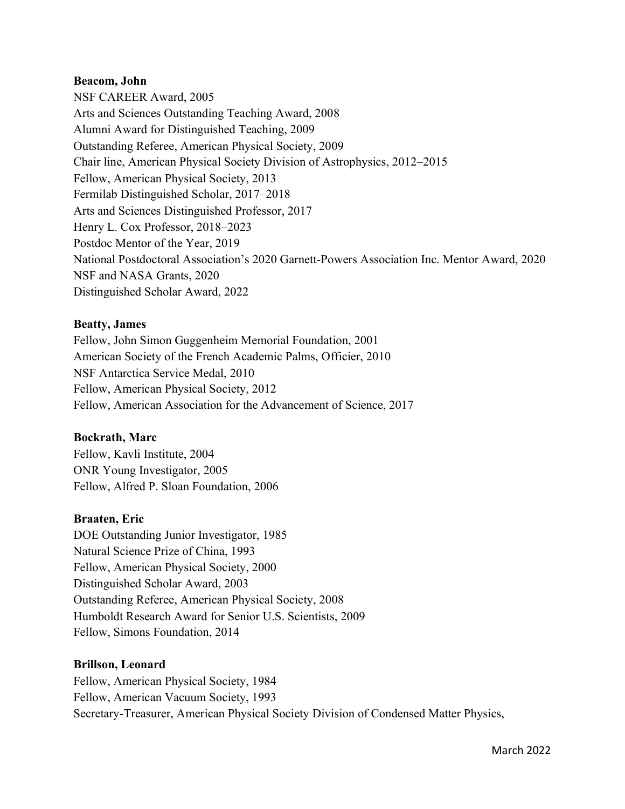#### **Beacom, John**

NSF CAREER Award, 2005 Arts and Sciences Outstanding Teaching Award, 2008 Alumni Award for Distinguished Teaching, 2009 Outstanding Referee, American Physical Society, 2009 Chair line, American Physical Society Division of Astrophysics, 2012–2015 Fellow, American Physical Society, 2013 Fermilab Distinguished Scholar, 2017–2018 Arts and Sciences Distinguished Professor, 2017 Henry L. Cox Professor, 2018–2023 Postdoc Mentor of the Year, 2019 National Postdoctoral Association's 2020 Garnett-Powers Association Inc. Mentor Award, 2020 NSF and NASA Grants, 2020 Distinguished Scholar Award, 2022

### **Beatty, James**

Fellow, John Simon Guggenheim Memorial Foundation, 2001 American Society of the French Academic Palms, Officier, 2010 NSF Antarctica Service Medal, 2010 Fellow, American Physical Society, 2012 Fellow, American Association for the Advancement of Science, 2017

### **Bockrath, Marc**

Fellow, Kavli Institute, 2004 ONR Young Investigator, 2005 Fellow, Alfred P. Sloan Foundation, 2006

### **Braaten, Eric**

DOE Outstanding Junior Investigator, 1985 Natural Science Prize of China, 1993 Fellow, American Physical Society, 2000 Distinguished Scholar Award, 2003 Outstanding Referee, American Physical Society, 2008 Humboldt Research Award for Senior U.S. Scientists, 2009 Fellow, Simons Foundation, 2014

### **Brillson, Leonard**

Fellow, American Physical Society, 1984 Fellow, American Vacuum Society, 1993 Secretary-Treasurer, American Physical Society Division of Condensed Matter Physics,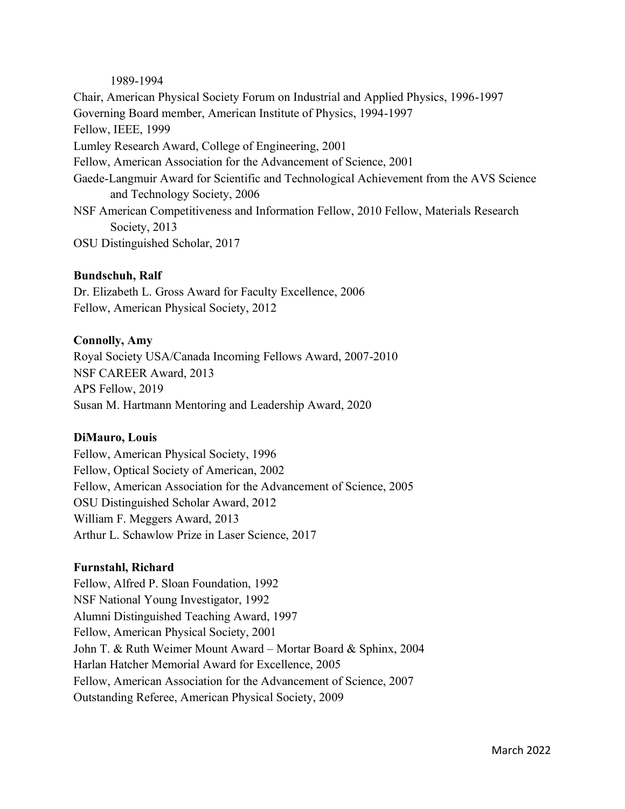#### 1989-1994

Chair, American Physical Society Forum on Industrial and Applied Physics, 1996-1997 Governing Board member, American Institute of Physics, 1994-1997 Fellow, IEEE, 1999 Lumley Research Award, College of Engineering, 2001 Fellow, American Association for the Advancement of Science, 2001 Gaede-Langmuir Award for Scientific and Technological Achievement from the AVS Science and Technology Society, 2006 NSF American Competitiveness and Information Fellow, 2010 Fellow, Materials Research Society, 2013 OSU Distinguished Scholar, 2017

### **Bundschuh, Ralf**

Dr. Elizabeth L. Gross Award for Faculty Excellence, 2006 Fellow, American Physical Society, 2012

#### **Connolly, Amy**

Royal Society USA/Canada Incoming Fellows Award, 2007-2010 NSF CAREER Award, 2013 APS Fellow, 2019 Susan M. Hartmann Mentoring and Leadership Award, 2020

### **DiMauro, Louis**

Fellow, American Physical Society, 1996 Fellow, Optical Society of American, 2002 Fellow, American Association for the Advancement of Science, 2005 OSU Distinguished Scholar Award, 2012 William F. Meggers Award, 2013 Arthur L. Schawlow Prize in Laser Science, 2017

### **Furnstahl, Richard**

Fellow, Alfred P. Sloan Foundation, 1992 NSF National Young Investigator, 1992 Alumni Distinguished Teaching Award, 1997 Fellow, American Physical Society, 2001 John T. & Ruth Weimer Mount Award – Mortar Board & Sphinx, 2004 Harlan Hatcher Memorial Award for Excellence, 2005 Fellow, American Association for the Advancement of Science, 2007 Outstanding Referee, American Physical Society, 2009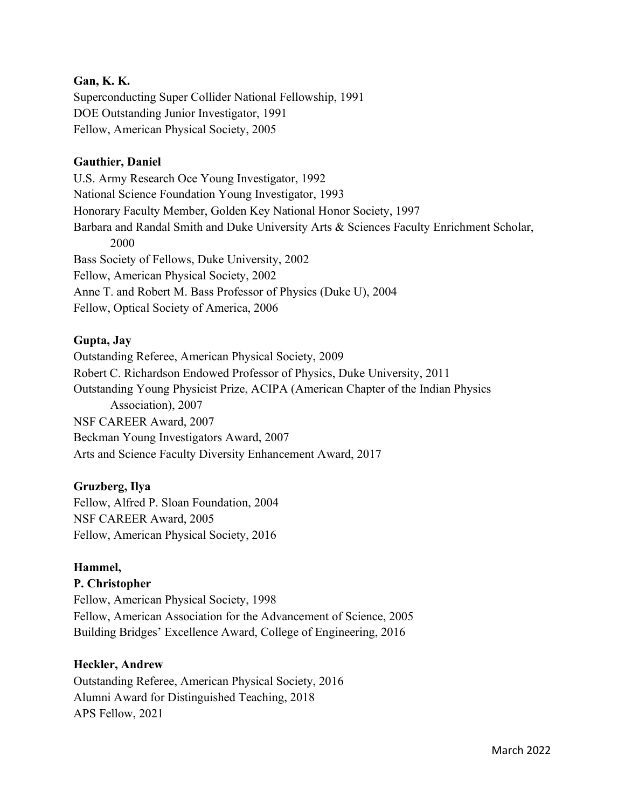## **Gan, K. K.**

Superconducting Super Collider National Fellowship, 1991 DOE Outstanding Junior Investigator, 1991 Fellow, American Physical Society, 2005

## **Gauthier, Daniel**

U.S. Army Research Oce Young Investigator, 1992 National Science Foundation Young Investigator, 1993 Honorary Faculty Member, Golden Key National Honor Society, 1997 Barbara and Randal Smith and Duke University Arts & Sciences Faculty Enrichment Scholar, 2000 Bass Society of Fellows, Duke University, 2002 Fellow, American Physical Society, 2002 Anne T. and Robert M. Bass Professor of Physics (Duke U), 2004 Fellow, Optical Society of America, 2006

## **Gupta, Jay**

Outstanding Referee, American Physical Society, 2009 Robert C. Richardson Endowed Professor of Physics, Duke University, 2011 Outstanding Young Physicist Prize, ACIPA (American Chapter of the Indian Physics Association), 2007 NSF CAREER Award, 2007 Beckman Young Investigators Award, 2007 Arts and Science Faculty Diversity Enhancement Award, 2017

# **Gruzberg, Ilya**

Fellow, Alfred P. Sloan Foundation, 2004 NSF CAREER Award, 2005 Fellow, American Physical Society, 2016

# **Hammel,**

### **P. Christopher**

Fellow, American Physical Society, 1998 Fellow, American Association for the Advancement of Science, 2005 Building Bridges' Excellence Award, College of Engineering, 2016

### **Heckler, Andrew**

Outstanding Referee, American Physical Society, 2016 Alumni Award for Distinguished Teaching, 2018 APS Fellow, 2021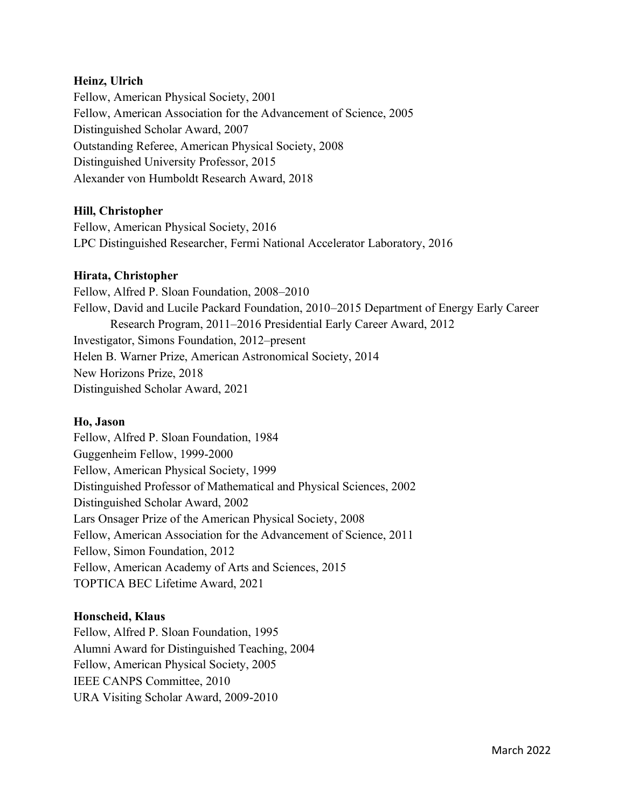## **Heinz, Ulrich**

Fellow, American Physical Society, 2001 Fellow, American Association for the Advancement of Science, 2005 Distinguished Scholar Award, 2007 Outstanding Referee, American Physical Society, 2008 Distinguished University Professor, 2015 Alexander von Humboldt Research Award, 2018

### **Hill, Christopher**

Fellow, American Physical Society, 2016 LPC Distinguished Researcher, Fermi National Accelerator Laboratory, 2016

### **Hirata, Christopher**

Fellow, Alfred P. Sloan Foundation, 2008–2010 Fellow, David and Lucile Packard Foundation, 2010–2015 Department of Energy Early Career Research Program, 2011–2016 Presidential Early Career Award, 2012 Investigator, Simons Foundation, 2012–present Helen B. Warner Prize, American Astronomical Society, 2014 New Horizons Prize, 2018 Distinguished Scholar Award, 2021

### **Ho, Jason**

Fellow, Alfred P. Sloan Foundation, 1984 Guggenheim Fellow, 1999-2000 Fellow, American Physical Society, 1999 Distinguished Professor of Mathematical and Physical Sciences, 2002 Distinguished Scholar Award, 2002 Lars Onsager Prize of the American Physical Society, 2008 Fellow, American Association for the Advancement of Science, 2011 Fellow, Simon Foundation, 2012 Fellow, American Academy of Arts and Sciences, 2015 TOPTICA BEC Lifetime Award, 2021

### **Honscheid, Klaus**

Fellow, Alfred P. Sloan Foundation, 1995 Alumni Award for Distinguished Teaching, 2004 Fellow, American Physical Society, 2005 IEEE CANPS Committee, 2010 URA Visiting Scholar Award, 2009-2010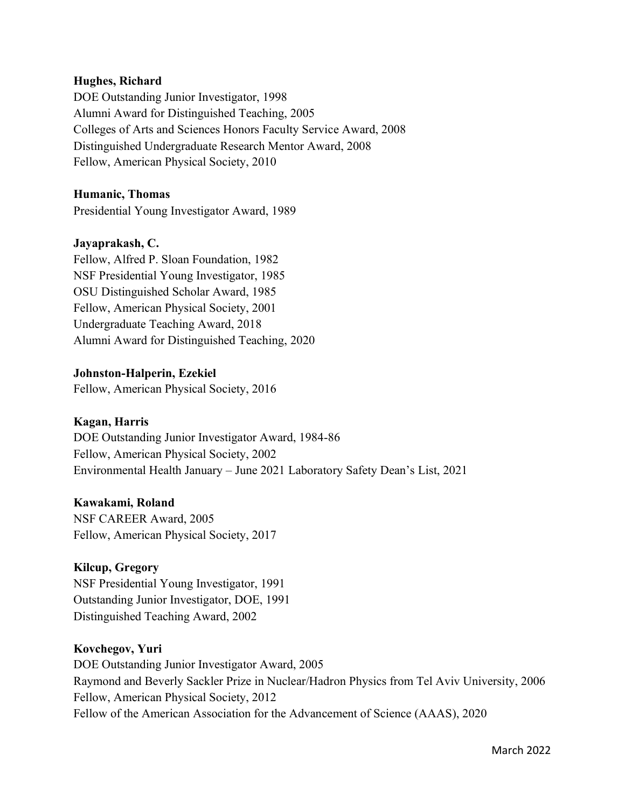### **Hughes, Richard**

DOE Outstanding Junior Investigator, 1998 Alumni Award for Distinguished Teaching, 2005 Colleges of Arts and Sciences Honors Faculty Service Award, 2008 Distinguished Undergraduate Research Mentor Award, 2008 Fellow, American Physical Society, 2010

## **Humanic, Thomas**

Presidential Young Investigator Award, 1989

### **Jayaprakash, C.**

Fellow, Alfred P. Sloan Foundation, 1982 NSF Presidential Young Investigator, 1985 OSU Distinguished Scholar Award, 1985 Fellow, American Physical Society, 2001 Undergraduate Teaching Award, 2018 Alumni Award for Distinguished Teaching, 2020

## **Johnston-Halperin, Ezekiel**

Fellow, American Physical Society, 2016

# **Kagan, Harris**

DOE Outstanding Junior Investigator Award, 1984-86 Fellow, American Physical Society, 2002 Environmental Health January – June 2021 Laboratory Safety Dean's List, 2021

### **Kawakami, Roland**

NSF CAREER Award, 2005 Fellow, American Physical Society, 2017

# **Kilcup, Gregory**

NSF Presidential Young Investigator, 1991 Outstanding Junior Investigator, DOE, 1991 Distinguished Teaching Award, 2002

### **Kovchegov, Yuri**

DOE Outstanding Junior Investigator Award, 2005 Raymond and Beverly Sackler Prize in Nuclear/Hadron Physics from Tel Aviv University, 2006 Fellow, American Physical Society, 2012 Fellow of the American Association for the Advancement of Science (AAAS), 2020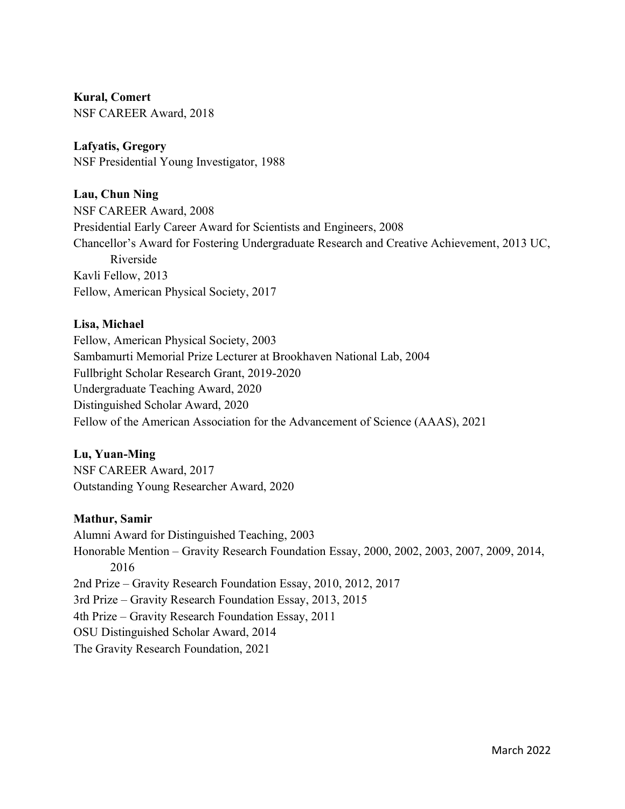# **Kural, Comert**

NSF CAREER Award, 2018

# **Lafyatis, Gregory**

NSF Presidential Young Investigator, 1988

# **Lau, Chun Ning**

NSF CAREER Award, 2008 Presidential Early Career Award for Scientists and Engineers, 2008 Chancellor's Award for Fostering Undergraduate Research and Creative Achievement, 2013 UC, Riverside Kavli Fellow, 2013 Fellow, American Physical Society, 2017

# **Lisa, Michael**

Fellow, American Physical Society, 2003 Sambamurti Memorial Prize Lecturer at Brookhaven National Lab, 2004 Fullbright Scholar Research Grant, 2019-2020 Undergraduate Teaching Award, 2020 Distinguished Scholar Award, 2020 Fellow of the American Association for the Advancement of Science (AAAS), 2021

# **Lu, Yuan-Ming**

NSF CAREER Award, 2017 Outstanding Young Researcher Award, 2020

# **Mathur, Samir**

Alumni Award for Distinguished Teaching, 2003 Honorable Mention – Gravity Research Foundation Essay, 2000, 2002, 2003, 2007, 2009, 2014, 2016 2nd Prize – Gravity Research Foundation Essay, 2010, 2012, 2017 3rd Prize – Gravity Research Foundation Essay, 2013, 2015 4th Prize – Gravity Research Foundation Essay, 2011 OSU Distinguished Scholar Award, 2014 The Gravity Research Foundation, 2021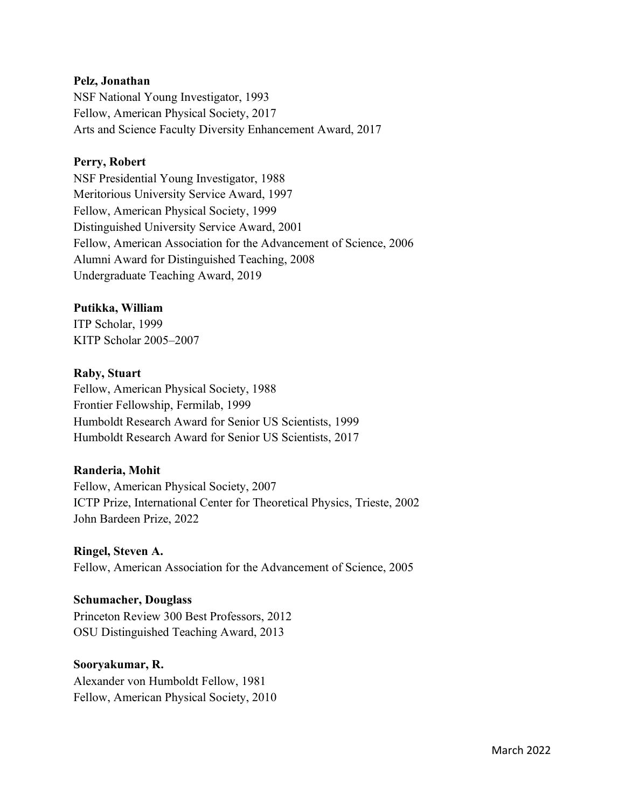### **Pelz, Jonathan**

NSF National Young Investigator, 1993 Fellow, American Physical Society, 2017 Arts and Science Faculty Diversity Enhancement Award, 2017

#### **Perry, Robert**

NSF Presidential Young Investigator, 1988 Meritorious University Service Award, 1997 Fellow, American Physical Society, 1999 Distinguished University Service Award, 2001 Fellow, American Association for the Advancement of Science, 2006 Alumni Award for Distinguished Teaching, 2008 Undergraduate Teaching Award, 2019

#### **Putikka, William**

ITP Scholar, 1999 KITP Scholar 2005–2007

#### **Raby, Stuart**

Fellow, American Physical Society, 1988 Frontier Fellowship, Fermilab, 1999 Humboldt Research Award for Senior US Scientists, 1999 Humboldt Research Award for Senior US Scientists, 2017

#### **Randeria, Mohit**

Fellow, American Physical Society, 2007 ICTP Prize, International Center for Theoretical Physics, Trieste, 2002 John Bardeen Prize, 2022

### **Ringel, Steven A.**

Fellow, American Association for the Advancement of Science, 2005

#### **Schumacher, Douglass**

Princeton Review 300 Best Professors, 2012 OSU Distinguished Teaching Award, 2013

#### **Sooryakumar, R.**

Alexander von Humboldt Fellow, 1981 Fellow, American Physical Society, 2010